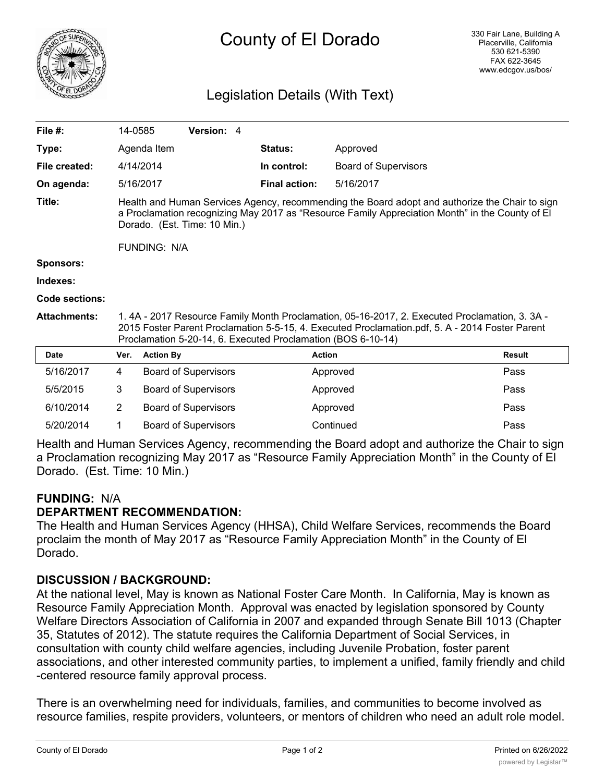

# County of El Dorado

## Legislation Details (With Text)

| File $#$ :          | 14-0585                                                                                                                                                                                                                                                         |                  | Version: 4                  |  |                      |                             |               |
|---------------------|-----------------------------------------------------------------------------------------------------------------------------------------------------------------------------------------------------------------------------------------------------------------|------------------|-----------------------------|--|----------------------|-----------------------------|---------------|
| Type:               |                                                                                                                                                                                                                                                                 | Agenda Item      |                             |  | Status:              | Approved                    |               |
| File created:       |                                                                                                                                                                                                                                                                 | 4/14/2014        |                             |  | In control:          | <b>Board of Supervisors</b> |               |
| On agenda:          |                                                                                                                                                                                                                                                                 | 5/16/2017        |                             |  | <b>Final action:</b> | 5/16/2017                   |               |
| Title:              | Health and Human Services Agency, recommending the Board adopt and authorize the Chair to sign<br>a Proclamation recognizing May 2017 as "Resource Family Appreciation Month" in the County of El<br>Dorado. (Est. Time: 10 Min.)<br><b>FUNDING: N/A</b>        |                  |                             |  |                      |                             |               |
| <b>Sponsors:</b>    |                                                                                                                                                                                                                                                                 |                  |                             |  |                      |                             |               |
| Indexes:            |                                                                                                                                                                                                                                                                 |                  |                             |  |                      |                             |               |
| Code sections:      |                                                                                                                                                                                                                                                                 |                  |                             |  |                      |                             |               |
| <b>Attachments:</b> | 1.4A - 2017 Resource Family Month Proclamation, 05-16-2017, 2. Executed Proclamation, 3.3A -<br>2015 Foster Parent Proclamation 5-5-15, 4. Executed Proclamation.pdf, 5. A - 2014 Foster Parent<br>Proclamation 5-20-14, 6. Executed Proclamation (BOS 6-10-14) |                  |                             |  |                      |                             |               |
| <b>Date</b>         | Ver.                                                                                                                                                                                                                                                            | <b>Action By</b> |                             |  | <b>Action</b>        |                             | <b>Result</b> |
| 5/16/2017           | 4                                                                                                                                                                                                                                                               |                  | <b>Board of Supervisors</b> |  |                      | Approved                    | Pass          |
| 5/5/2015            | 3                                                                                                                                                                                                                                                               |                  | <b>Board of Supervisors</b> |  |                      | Approved                    | Pass          |
| 6/10/2014           | $\overline{2}$                                                                                                                                                                                                                                                  |                  | <b>Board of Supervisors</b> |  |                      | Approved                    | Pass          |

Health and Human Services Agency, recommending the Board adopt and authorize the Chair to sign a Proclamation recognizing May 2017 as "Resource Family Appreciation Month" in the County of El Dorado. (Est. Time: 10 Min.)

5/20/2014 1 Board of Supervisors Continued Pass

## **FUNDING:** N/A **DEPARTMENT RECOMMENDATION:**

The Health and Human Services Agency (HHSA), Child Welfare Services, recommends the Board proclaim the month of May 2017 as "Resource Family Appreciation Month" in the County of El Dorado.

## **DISCUSSION / BACKGROUND:**

At the national level, May is known as National Foster Care Month. In California, May is known as Resource Family Appreciation Month. Approval was enacted by legislation sponsored by County Welfare Directors Association of California in 2007 and expanded through Senate Bill 1013 (Chapter 35, Statutes of 2012). The statute requires the California Department of Social Services, in consultation with county child welfare agencies, including Juvenile Probation, foster parent associations, and other interested community parties, to implement a unified, family friendly and child -centered resource family approval process.

There is an overwhelming need for individuals, families, and communities to become involved as resource families, respite providers, volunteers, or mentors of children who need an adult role model.